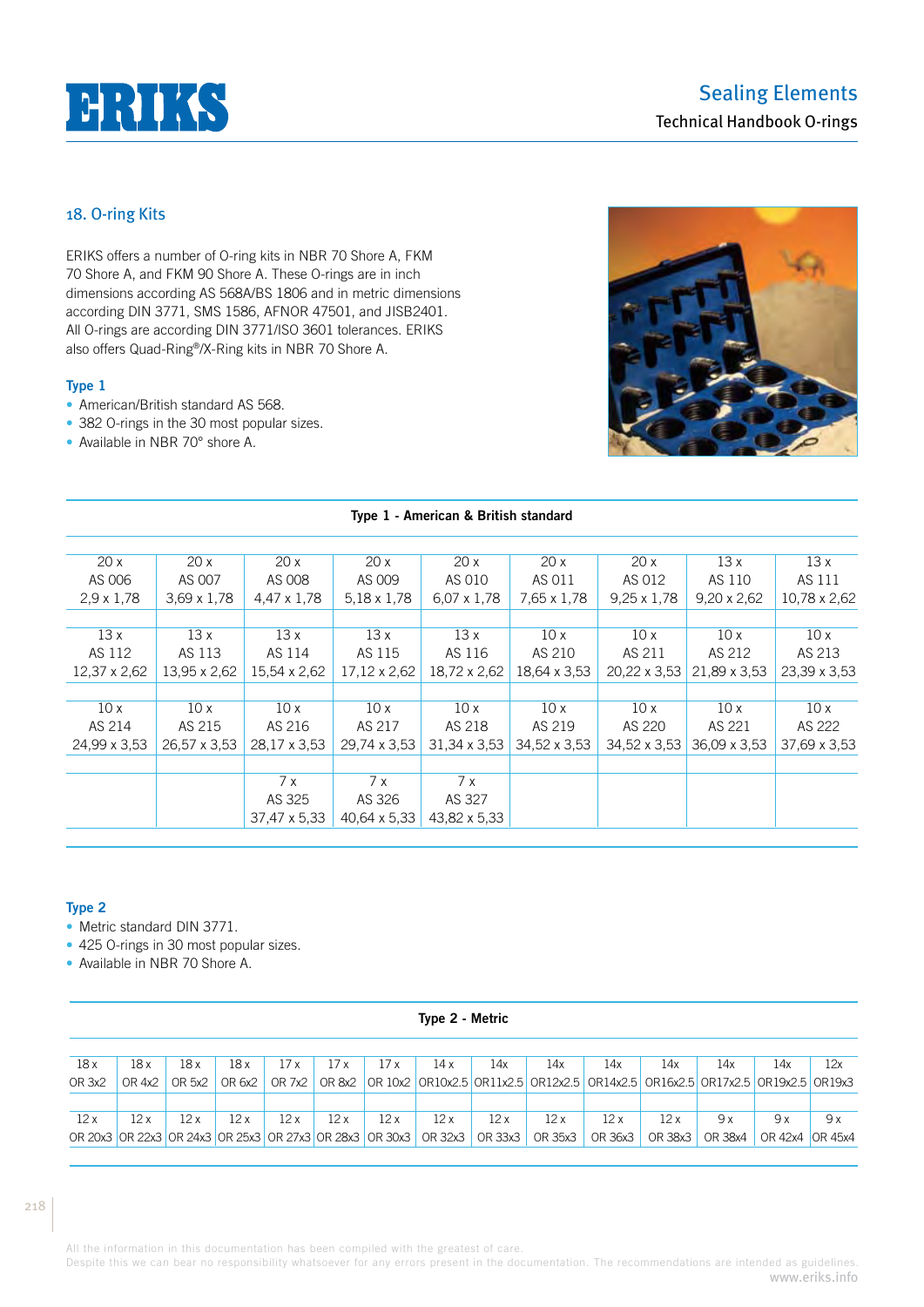# ERIKS

## 18. O-ring Kits

ERIKS offers a number of O-ring kits in NBR 70 Shore A, FKM 70 Shore A, and FKM 90 Shore A. These O-rings are in inch dimensions according AS 568A/BS 1806 and in metric dimensions according DIN 3771, SMS 1586, AFNOR 47501, and JISB2401. All O-rings are according DIN 3771/ISO 3601 tolerances. ERIKS also offers Quad-Ring®/X-Ring kits in NBR 70 Shore A.

#### **Type 1**

- American/British standard AS 568.
- 382 O-rings in the 30 most popular sizes.
- Available in NBR 70° shore A.



|                   | Type 1 - American & British Standard |              |                     |                     |              |                    |                    |              |
|-------------------|--------------------------------------|--------------|---------------------|---------------------|--------------|--------------------|--------------------|--------------|
|                   |                                      |              |                     |                     |              |                    |                    |              |
| 20x               | 20x                                  | 20x          | 20x                 | 20x                 | 20x          | 20x                | 13x                | 13x          |
| AS 006            | AS 007                               | AS 008       | AS 009              | AS 010              | AS 011       | AS 012             | AS 110             | AS 111       |
| $2,9 \times 1,78$ | $3,69 \times 1,78$                   | 4,47 x 1,78  | $5,18 \times 1,78$  | 6,07 x 1,78         | 7,65 x 1,78  | $9,25 \times 1,78$ | $9,20 \times 2,62$ | 10,78 x 2,62 |
|                   |                                      |              |                     |                     |              |                    |                    |              |
| 13x               | 13 x                                 | 13x          | 13x                 | 13x                 | 10x          | 10x                | 10x                | 10x          |
| AS 112            | AS 113                               | AS 114       | AS 115              | AS 116              | AS 210       | AS 211             | AS 212             | AS 213       |
| 12,37 x 2,62      | 13,95 x 2,62                         | 15,54 x 2,62 | $17,12 \times 2,62$ | 18,72 x 2,62        | 18,64 x 3,53 | 20,22 x 3,53       | 21,89 x 3,53       | 23,39 x 3,53 |
|                   |                                      |              |                     |                     |              |                    |                    |              |
| 10x               | 10x                                  | 10x          | 10x                 | 10x                 | 10x          | 10x                | 10x                | 10x          |
| AS 214            | AS 215                               | AS 216       | AS 217              | AS 218              | AS 219       | AS 220             | AS 221             | AS 222       |
| 24,99 x 3,53      | 26,57 x 3,53                         | 28,17 x 3,53 | 29,74 x 3,53        | $31,34 \times 3,53$ | 34,52 x 3,53 | 34,52 x 3,53       | 36,09 x 3,53       | 37,69 x 3,53 |
|                   |                                      |              |                     |                     |              |                    |                    |              |
|                   |                                      | 7x           | 7 x                 | 7x                  |              |                    |                    |              |
|                   |                                      | AS 325       | AS 326              | AS 327              |              |                    |                    |              |
|                   |                                      | 37,47 x 5,33 | 40,64 x 5,33        | 43,82 x 5,33        |              |                    |                    |              |
|                   |                                      |              |                     |                     |              |                    |                    |              |

**Type 1 - American & British standard**

## **Type 2**

• Metric standard DIN 3771.

• 425 O-rings in 30 most popular sizes.

• Available in NBR 70 Shore A.

**Type 2 - Metric**

| 18x    | 18 x   | 18 x   | 18 x       | 17x    | 17x | 17 x | 14x                                                             | 14x | 14x             | 14x                                                                                  | 14x     | 14x     | 14x             | 12x |
|--------|--------|--------|------------|--------|-----|------|-----------------------------------------------------------------|-----|-----------------|--------------------------------------------------------------------------------------|---------|---------|-----------------|-----|
| OR 3x2 | OR 4x2 | OR 5x2 | $OR$ $6x2$ | OR 7x2 |     |      |                                                                 |     |                 | OR 8x2 OR 10x2 OR10x2.5 OR11x2.5 OR12x2.5 OR14x2.5 OR16x2.5 OR17x2.5 OR19x2.5 OR19x3 |         |         |                 |     |
|        |        |        |            |        |     |      |                                                                 |     |                 |                                                                                      |         |         |                 |     |
| 12x    | 12x    | 12 x   | 12x        | 12x    | 12x | 12x  | 12x                                                             | 12x | 12x             | 12x                                                                                  | 12 x    | 9 x     | 9 x             | 9 x |
|        |        |        |            |        |     |      | OR 20x3 OR 22x3 OR 24x3 OR 25x3 OR 27x3 OR 28x3 OR 30x3 OR 32x3 |     | OR 33x3 OR 35x3 | OR 36x3                                                                              | OR 38x3 | OR 38x4 | OR 42x4 OR 45x4 |     |

All the information in this documentation has been compiled with the greatest of care.

Despite this we can bear no responsibility whatsoever for any errors present in the documentation. The recommendations are intended as guidelines. www.eriks.info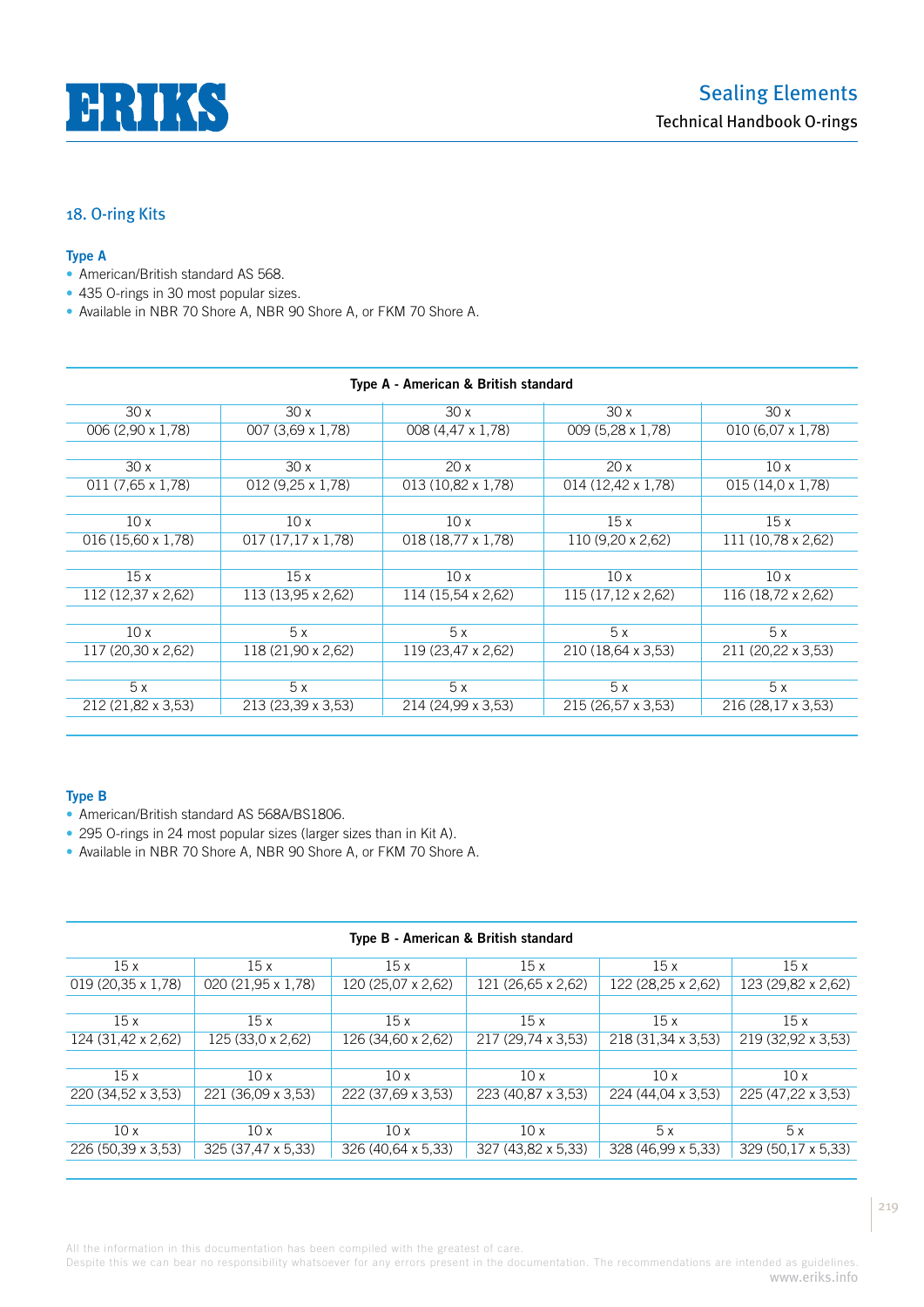

#### **Type A**

- American/British standard AS 568.
- 435 O-rings in 30 most popular sizes.
- Available in NBR 70 Shore A, NBR 90 Shore A, or FKM 70 Shore A.

| Type A - American & British standard |                          |                          |                    |                    |  |  |
|--------------------------------------|--------------------------|--------------------------|--------------------|--------------------|--|--|
| 30x                                  | 30x                      | 30x                      | 30x                | 30x                |  |  |
| 006 (2,90 x 1,78)                    | 007 (3,69 x 1,78)        | 008 (4,47 x 1,78)        | 009 (5,28 x 1,78)  | 010 (6,07 x 1,78)  |  |  |
|                                      |                          |                          |                    |                    |  |  |
| 30x                                  | 30x                      | 20x                      | 20x                | 10x                |  |  |
| 011 (7,65 x 1,78)                    | 012 (9,25 x 1,78)        | 013 (10,82 x 1,78)       | 014 (12,42 x 1,78) | 015 (14,0 x 1,78)  |  |  |
|                                      |                          |                          |                    |                    |  |  |
| 10x                                  | 10x                      | 10x                      | 15x                | 15x                |  |  |
| 016 (15,60 x 1,78)                   | $017(17,17 \times 1.78)$ | $018(18.77 \times 1.78)$ | 110 (9,20 x 2,62)  | 111 (10.78 x 2.62) |  |  |
|                                      |                          |                          |                    |                    |  |  |
| 15x                                  | 15x                      | 10x                      | 10x                | 10x                |  |  |
| 112 (12,37 x 2,62)                   | 113 (13,95 x 2,62)       | 114 (15,54 x 2,62)       | 115 (17,12 x 2,62) | 116 (18,72 x 2,62) |  |  |
|                                      |                          |                          |                    |                    |  |  |
| 10x                                  | 5x                       | 5x                       | 5x                 | 5x                 |  |  |
| 117 (20,30 x 2,62)                   | 118 (21,90 x 2,62)       | 119 (23,47 x 2,62)       | 210 (18,64 x 3,53) | 211 (20,22 x 3,53) |  |  |
|                                      |                          |                          |                    |                    |  |  |
| 5x                                   | 5x                       | 5x                       | 5x                 | 5x                 |  |  |
| 212 (21,82 x 3,53)                   | 213 (23,39 x 3,53)       | 214 (24,99 x 3,53)       | 215 (26,57 x 3,53) | 216 (28,17 x 3,53) |  |  |

#### **Type B**

- American/British standard AS 568A/BS1806.
- 295 O-rings in 24 most popular sizes (larger sizes than in Kit A).
- Available in NBR 70 Shore A, NBR 90 Shore A, or FKM 70 Shore A.

|                          | Type B - American & British standard |                    |                    |                    |                    |  |  |  |
|--------------------------|--------------------------------------|--------------------|--------------------|--------------------|--------------------|--|--|--|
| 15x                      | 15x                                  | 15x                | 15x                | 15x                | 15x                |  |  |  |
| $019(20.35 \times 1.78)$ | 020 (21,95 x 1,78)                   | 120 (25,07 x 2,62) | 121 (26,65 x 2,62) | 122 (28,25 x 2,62) | 123 (29,82 x 2,62) |  |  |  |
|                          |                                      |                    |                    |                    |                    |  |  |  |
| 15x                      | 15x                                  | 15x                | 15x                | 15x                | 15x                |  |  |  |
| 124 (31,42 x 2,62)       | 125 (33,0 x 2,62)                    | 126 (34,60 x 2,62) | 217 (29.74 x 3.53) | 218 (31,34 x 3,53) | 219 (32,92 x 3,53) |  |  |  |
|                          |                                      |                    |                    |                    |                    |  |  |  |
| 15x                      | 10x                                  | 10x                | 10x                | 10x                | 10x                |  |  |  |
| 220 (34,52 x 3,53)       | 221 (36,09 x 3,53)                   | 222 (37,69 x 3,53) | 223 (40.87 x 3.53) | 224 (44,04 x 3,53) | 225 (47,22 x 3,53) |  |  |  |
|                          |                                      |                    |                    |                    |                    |  |  |  |
| 10x                      | 10x                                  | 10x                | 10x                | 5x                 | 5x                 |  |  |  |
| 226 (50,39 x 3,53)       | 325 (37,47 x 5,33)                   | 326 (40,64 x 5,33) | 327 (43,82 x 5,33) | 328 (46,99 x 5,33) | 329 (50,17 x 5,33) |  |  |  |

# **Type B - American & British standard**

All the information in this documentation has been compiled with the greatest of care.

Despite this we can bear no responsibility whatsoever for any errors present in the documentation. The recommendations are intended as guidelines. www.eriks.info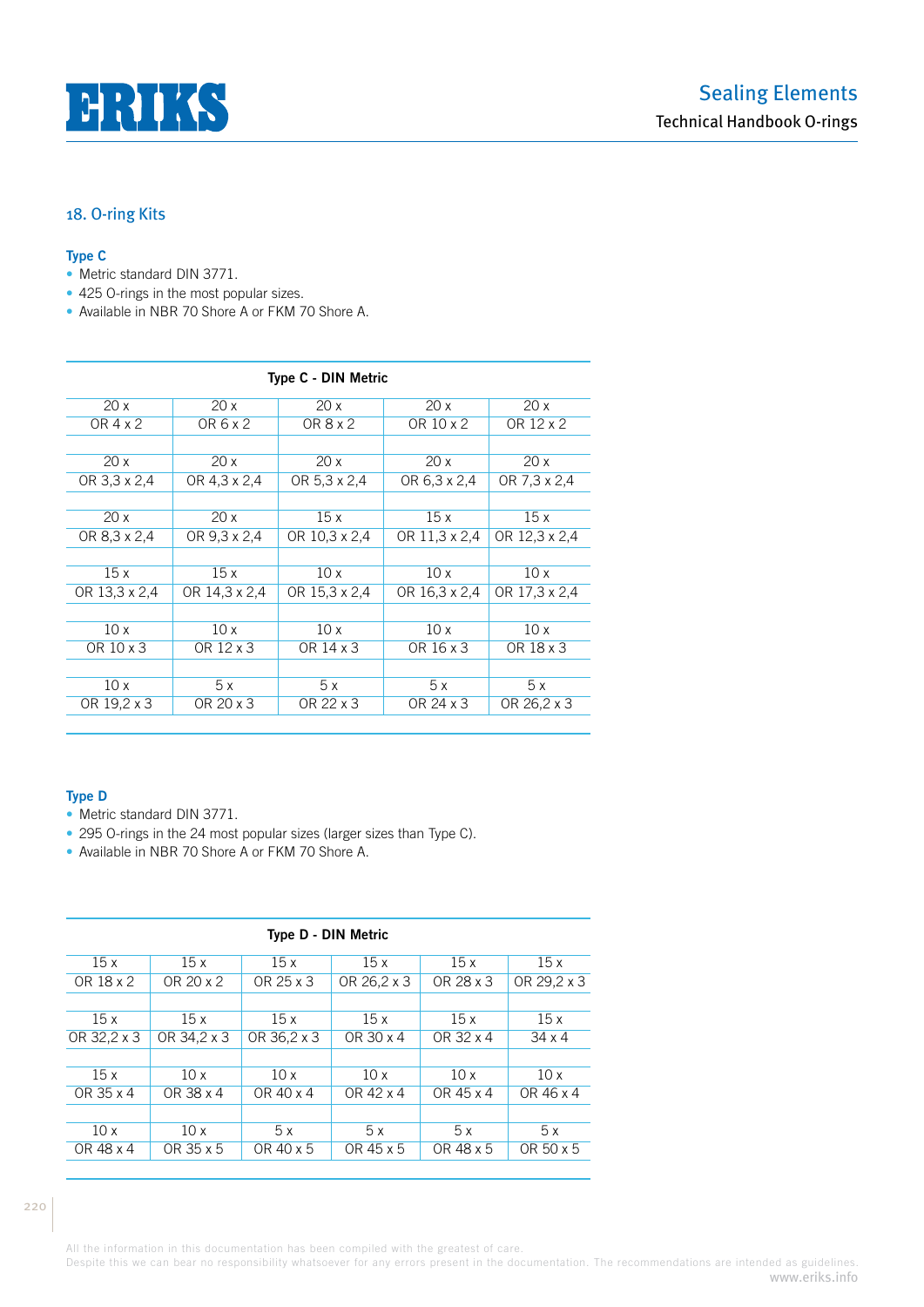

## **Type C**

- Metric standard DIN 3771.
- 425 O-rings in the most popular sizes.
- Available in NBR 70 Shore A or FKM 70 Shore A.

| <b>Type C - DIN Metric</b> |               |               |               |               |  |  |
|----------------------------|---------------|---------------|---------------|---------------|--|--|
| 20x                        | 20x           | 20x           | 20x           | 20x           |  |  |
| OR $4 \times 2$            | OR 6 x 2      | OR 8 x 2      | OR 10 x 2     | OR 12 x 2     |  |  |
|                            |               |               |               |               |  |  |
| 20x                        | 20x           | 20x           | 20x           | 20x           |  |  |
| OR 3,3 x 2,4               | OR 4,3 x 2,4  | OR 5,3 x 2,4  | OR 6,3 x 2,4  | OR 7,3 x 2,4  |  |  |
|                            |               |               |               |               |  |  |
| 20x                        | 20x           | 15x           | 15x           | 15x           |  |  |
| OR 8,3 x 2,4               | OR 9.3 x 2.4  | OR 10.3 x 2.4 | OR 11.3 x 2.4 | OR 12.3 x 2.4 |  |  |
|                            |               |               |               |               |  |  |
| 15x                        | 15x           | 10x           | 10x           | 10x           |  |  |
| OR 13.3 x 2.4              | OR 14.3 x 2.4 | OR 15.3 x 2.4 | OR 16.3 x 2.4 | OR 17.3 x 2.4 |  |  |
|                            |               |               |               |               |  |  |
| 10x                        | 10x           | 10x           | 10x           | 10x           |  |  |
| OR 10 x 3                  | OR 12 x 3     | OR 14 x 3     | OR 16 x 3     | OR 18 x 3     |  |  |
|                            |               |               |               |               |  |  |
| 10x                        | 5x            | 5x            | 5x            | 5x            |  |  |
| OR 19,2 x 3                | OR 20 x 3     | OR 22 x 3     | OR 24 x 3     | OR 26,2 x 3   |  |  |
|                            |               |               |               |               |  |  |

## **Type D**

• Metric standard DIN 3771.

- 295 O-rings in the 24 most popular sizes (larger sizes than Type C).
- Available in NBR 70 Shore A or FKM 70 Shore A.

| 15x | 15x                                                                    | 15x                                                              | 15x                                                            |
|-----|------------------------------------------------------------------------|------------------------------------------------------------------|----------------------------------------------------------------|
|     |                                                                        |                                                                  |                                                                |
|     |                                                                        |                                                                  | OR 29,2 x 3                                                    |
|     |                                                                        |                                                                  |                                                                |
|     |                                                                        |                                                                  | 15x                                                            |
|     |                                                                        |                                                                  | $34 \times 4$                                                  |
|     |                                                                        |                                                                  |                                                                |
|     |                                                                        |                                                                  | 10x                                                            |
|     |                                                                        |                                                                  | OR 46 x 4                                                      |
|     |                                                                        |                                                                  |                                                                |
|     | 5x                                                                     | 5x                                                               | 5x                                                             |
|     |                                                                        |                                                                  | OR 50 x 5                                                      |
|     | OR 25 x 3<br>15x<br>OR 36,2 x 3<br>10x<br>OR 40 x 4<br>5x<br>OR 40 x 5 | OR 26,2 x 3<br>15x<br>OR 30 x 4<br>10x<br>OR 42 x 4<br>OR 45 x 5 | OR 28 x 3<br>15x<br>OR 32 x 4<br>10x<br>OR 45 x 4<br>OR 48 x 5 |

All the information in this documentation has been compiled with the greatest of care.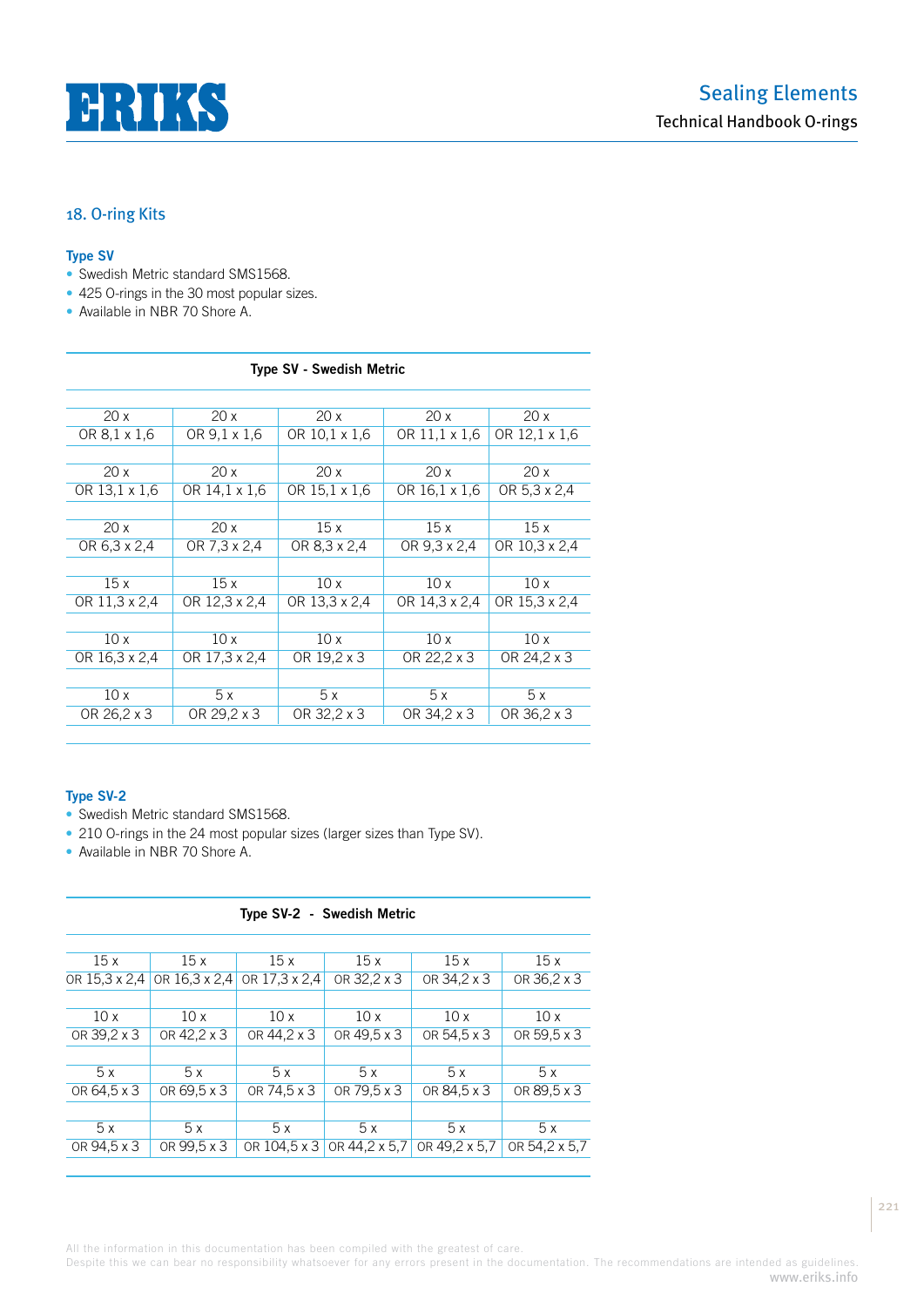

### **Type SV**

- Swedish Metric standard SMS1568.
- 425 O-rings in the 30 most popular sizes.
- Available in NBR 70 Shore A.

| <b>Type SV - Swedish Metric</b> |               |               |               |               |  |  |
|---------------------------------|---------------|---------------|---------------|---------------|--|--|
|                                 |               |               |               |               |  |  |
| 20x                             | 20x           | 20x           | 20x           | 20x           |  |  |
| OR 8,1 x 1,6                    | OR 9,1 x 1,6  | OR 10,1 x 1,6 | OR 11,1 x 1,6 | OR 12,1 x 1,6 |  |  |
|                                 |               |               |               |               |  |  |
| 20x                             | 20x           | 20x           | 20x           | 20x           |  |  |
| OR 13,1 x 1,6                   | OR 14,1 x 1,6 | OR 15,1 x 1,6 | OR 16,1 x 1,6 | OR 5,3 x 2,4  |  |  |
|                                 |               |               |               |               |  |  |
| 20x                             | 20x           | 15x           | 15x           | 15x           |  |  |
| OR 6,3 x 2,4                    | OR 7,3 x 2,4  | OR 8,3 x 2,4  | OR 9,3 x 2,4  | OR 10,3 x 2,4 |  |  |
|                                 |               |               |               |               |  |  |
| 15x                             | 15x           | 10x           | 10x           | 10x           |  |  |
| OR 11,3 x 2,4                   | OR 12,3 x 2,4 | OR 13,3 x 2,4 | OR 14.3 x 2.4 | OR 15.3 x 2.4 |  |  |
|                                 |               |               |               |               |  |  |
| 10x                             | 10x           | 10x           | 10x           | 10x           |  |  |
| OR 16.3 x 2.4                   | OR 17.3 x 2.4 | OR 19.2 x 3   | OR 22.2 x 3   | OR 24,2 x 3   |  |  |
|                                 |               |               |               |               |  |  |
| 10x                             | 5x            | 5x            | 5x            | 5x            |  |  |
| OR 26,2 x 3                     | OR 29,2 x 3   | OR 32.2 x 3   | OR 34,2 x 3   | OR 36,2 x 3   |  |  |
|                                 |               |               |               |               |  |  |

#### **Type SV-2**

- Swedish Metric standard SMS1568.
- 210 O-rings in the 24 most popular sizes (larger sizes than Type SV).
- Available in NBR 70 Shore A.

| 15x           | 15x         | 15x                         | 15x           | 15x           | 15x           |
|---------------|-------------|-----------------------------|---------------|---------------|---------------|
| OR 15,3 x 2,4 |             | OR 16,3 x 2,4 OR 17,3 x 2,4 | OR 32,2 x 3   | OR 34,2 x 3   | OR 36,2 x 3   |
|               |             |                             |               |               |               |
| 10x           | 10x         | 10x                         | 10x           | 10x           | 10x           |
| OR 39.2 x 3   | OR 42,2 x 3 | OR 44,2 x 3                 | OR 49.5 x 3   | OR 54.5 x 3   | OR 59,5 x 3   |
|               |             |                             |               |               |               |
| 5x            | 5 x         | 5x                          | 5x            | 5x            | 5x            |
| OR 64.5 x 3   | OR 69.5 x 3 | OR 74.5 x 3                 | OR 79.5 x 3   | OR 84,5 x 3   | OR 89,5 x 3   |
|               |             |                             |               |               |               |
| 5x            | 5x          | 5x                          | 5x            | 5x            | 5x            |
| OR 94.5 x 3   | OR 99.5 x 3 | OR 104,5 x 3                | OR 44.2 x 5.7 | OR 49,2 x 5,7 | OR 54,2 x 5,7 |

## **Type SV-2 - Swedish Metric**

All the information in this documentation has been compiled with the greatest of care.

221